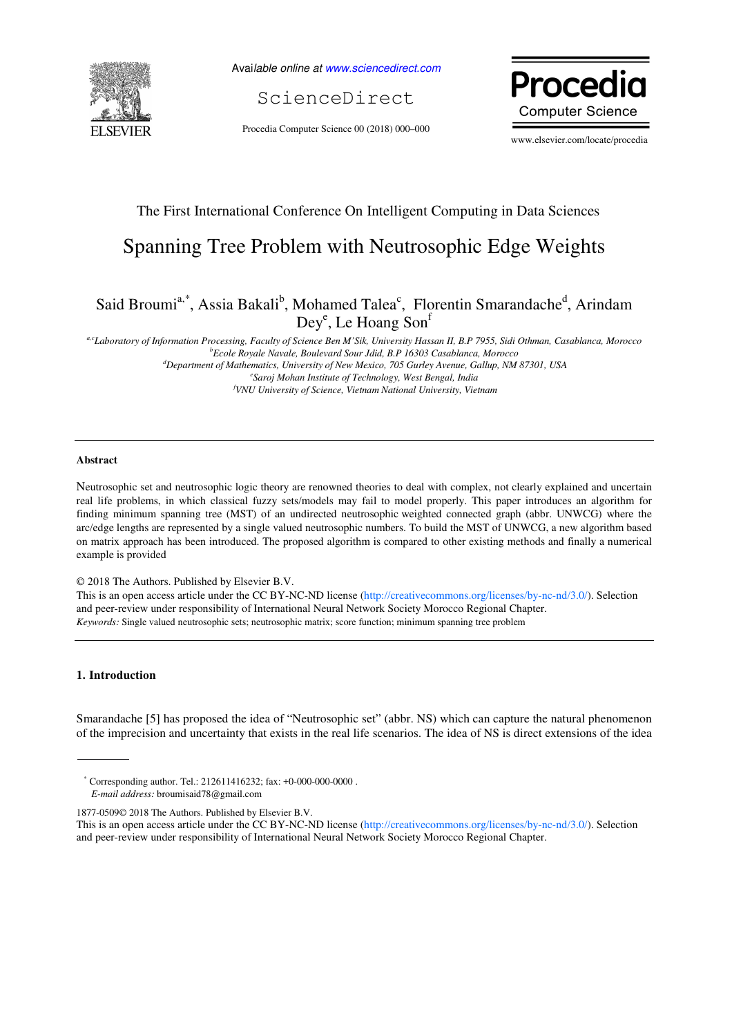

Available online at www.sciencedirect.com

ScienceDirect

Procedia Computer Science 00 (2018) 000–000



www.elsevier.com/locate/procedia

## The First International Conference On Intelligent Computing in Data Sciences

# Spanning Tree Problem with Neutrosophic Edge Weights

## Said Broumi<sup>a,\*</sup>, Assia Bakali<sup>b</sup>, Mohamed Talea<sup>c</sup>, Florentin Smarandache<sup>d</sup>, Arindam Dey<sup>e</sup>, Le Hoang Son<sup>f</sup>

*a,cLaboratory of Information Processing, Faculty of Science Ben M'Sik, University Hassan II, B.P 7955, Sidi Othman, Casablanca, Morocco <sup>b</sup>Ecole Royale Navale, Boulevard Sour Jdid, B.P 16303 Casablanca, Morocco <sup>d</sup>Department of Mathematics, University of New Mexico, 705 Gurley Avenue, Gallup, NM 87301, USA e Saroj Mohan Institute of Technology, West Bengal, India <sup>f</sup>VNU University of Science, Vietnam National University, Vietnam* 

## **Abstract**

Neutrosophic set and neutrosophic logic theory are renowned theories to deal with complex, not clearly explained and uncertain real life problems, in which classical fuzzy sets/models may fail to model properly. This paper introduces an algorithm for finding minimum spanning tree (MST) of an undirected neutrosophic weighted connected graph (abbr. UNWCG) where the arc/edge lengths are represented by a single valued neutrosophic numbers. To build the MST of UNWCG, a new algorithm based on matrix approach has been introduced. The proposed algorithm is compared to other existing methods and finally a numerical example is provided

© 2018 The Authors. Published by Elsevier B.V.

This is an open access article under the CC BY-NC-ND license (http://creativecommons.org/licenses/by-nc-nd/3.0/). Selection and peer-review under responsibility of International Neural Network Society Morocco Regional Chapter. *Keywords:* Single valued neutrosophic sets; neutrosophic matrix; score function; minimum spanning tree problem

### **1. Introduction**

Smarandache [5] has proposed the idea of "Neutrosophic set" (abbr. NS) which can capture the natural phenomenon of the imprecision and uncertainty that exists in the real life scenarios. The idea of NS is direct extensions of the idea

<sup>\*</sup> Corresponding author. Tel.: 212611416232; fax: +0-000-000-0000 . *E-mail address:* broumisaid78@gmail.com

<sup>1877-0509© 2018</sup> The Authors. Published by Elsevier B.V.

This is an open access article under the CC BY-NC-ND license (http://creativecommons.org/licenses/by-nc-nd/3.0/). Selection and peer-review under responsibility of International Neural Network Society Morocco Regional Chapter.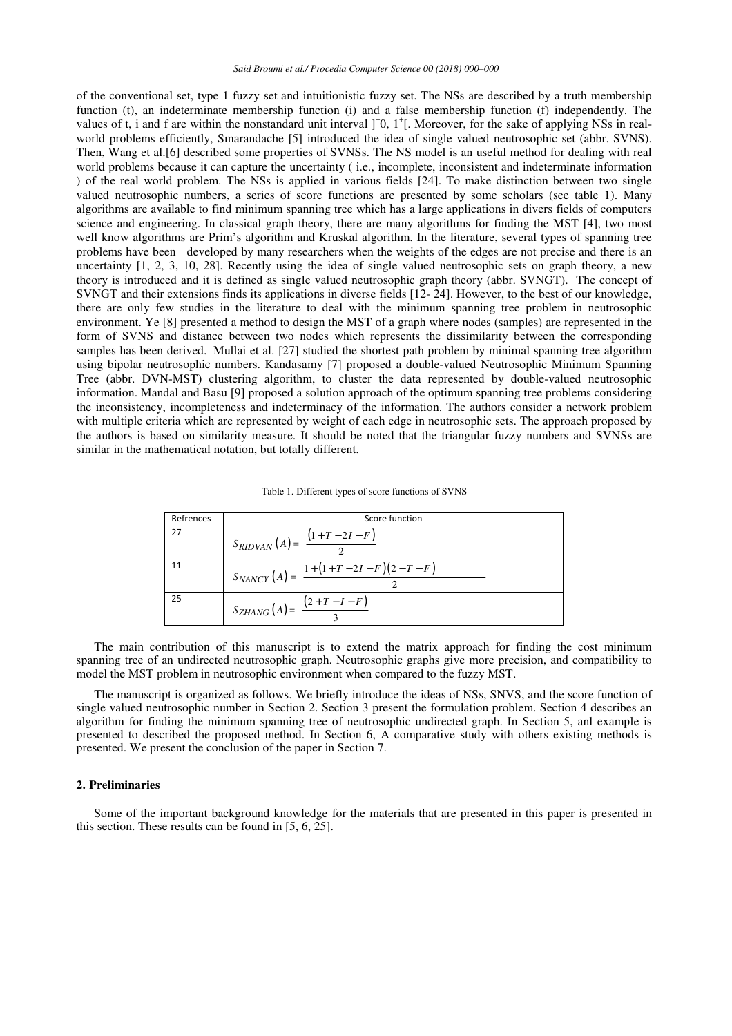of the conventional set, type 1 fuzzy set and intuitionistic fuzzy set. The NSs are described by a truth membership function (t), an indeterminate membership function (i) and a false membership function (f) independently. The values of t, i and f are within the nonstandard unit interval ]<sup>−0</sup>, 1<sup>+</sup>[. Moreover, for the sake of applying NSs in realworld problems efficiently, Smarandache [5] introduced the idea of single valued neutrosophic set (abbr. SVNS). Then, Wang et al.[6] described some properties of SVNSs. The NS model is an useful method for dealing with real world problems because it can capture the uncertainty ( i.e., incomplete, inconsistent and indeterminate information ) of the real world problem. The NSs is applied in various fields [24]. To make distinction between two single valued neutrosophic numbers, a series of score functions are presented by some scholars (see table 1). Many algorithms are available to find minimum spanning tree which has a large applications in divers fields of computers science and engineering. In classical graph theory, there are many algorithms for finding the MST [4], two most well know algorithms are Prim's algorithm and Kruskal algorithm. In the literature, several types of spanning tree problems have been developed by many researchers when the weights of the edges are not precise and there is an uncertainty [1, 2, 3, 10, 28]. Recently using the idea of single valued neutrosophic sets on graph theory, a new theory is introduced and it is defined as single valued neutrosophic graph theory (abbr. SVNGT). The concept of SVNGT and their extensions finds its applications in diverse fields [12- 24]. However, to the best of our knowledge, there are only few studies in the literature to deal with the minimum spanning tree problem in neutrosophic environment. Ye [8] presented a method to design the MST of a graph where nodes (samples) are represented in the form of SVNS and distance between two nodes which represents the dissimilarity between the corresponding samples has been derived. Mullai et al. [27] studied the shortest path problem by minimal spanning tree algorithm using bipolar neutrosophic numbers. Kandasamy [7] proposed a double-valued Neutrosophic Minimum Spanning Tree (abbr. DVN-MST) clustering algorithm, to cluster the data represented by double-valued neutrosophic information. Mandal and Basu [9] proposed a solution approach of the optimum spanning tree problems considering the inconsistency, incompleteness and indeterminacy of the information. The authors consider a network problem with multiple criteria which are represented by weight of each edge in neutrosophic sets. The approach proposed by the authors is based on similarity measure. It should be noted that the triangular fuzzy numbers and SVNSs are similar in the mathematical notation, but totally different.

| Refrences | Score function                                             |
|-----------|------------------------------------------------------------|
| 27        | $S_{RIDVAN}(A) = \frac{(1+T-2I-F)}{2}$                     |
|           | $S_{NANCY}(A) = \frac{1 + (1 + T - 2I - F)(2 - T - F)}{2}$ |
| 25        | $S_{ZHANG}(A) = \frac{(2+T-I-F)}{2}$                       |

The main contribution of this manuscript is to extend the matrix approach for finding the cost minimum spanning tree of an undirected neutrosophic graph. Neutrosophic graphs give more precision, and compatibility to model the MST problem in neutrosophic environment when compared to the fuzzy MST.

The manuscript is organized as follows. We briefly introduce the ideas of NSs, SNVS, and the score function of single valued neutrosophic number in Section 2. Section 3 present the formulation problem. Section 4 describes an algorithm for finding the minimum spanning tree of neutrosophic undirected graph. In Section 5, anl example is presented to described the proposed method. In Section 6, A comparative study with others existing methods is presented. We present the conclusion of the paper in Section 7.

## **2. Preliminaries**

Some of the important background knowledge for the materials that are presented in this paper is presented in this section. These results can be found in [5, 6, 25].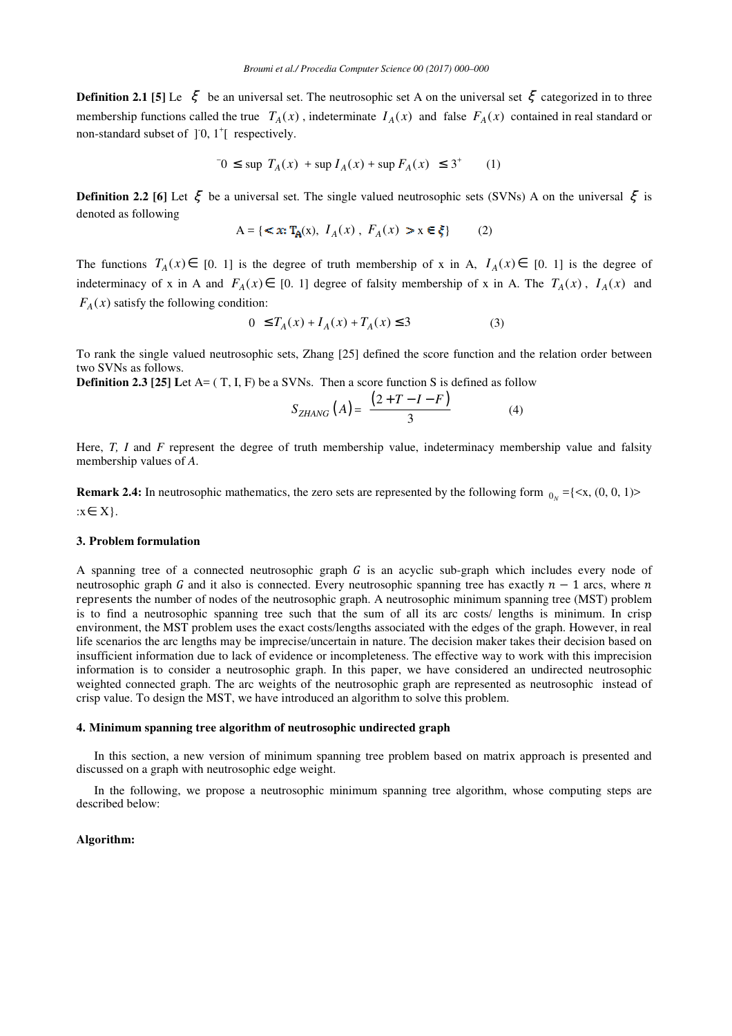**Definition 2.1 [5]** Le  $\zeta$  be an universal set. The neutrosophic set A on the universal set  $\zeta$  categorized in to three membership functions called the true  $T_A(x)$ , indeterminate  $I_A(x)$  and false  $F_A(x)$  contained in real standard or non-standard subset of  $]0, 1^{\dagger}$  respectively.

$$
0 \le \sup T_A(x) + \sup I_A(x) + \sup F_A(x) \le 3^+ \tag{1}
$$

**Definition 2.2** [6] Let ξ be a universal set. The single valued neutrosophic sets (SVNs) A on the universal ξ is denoted as following

$$
A = \{ \langle x; T_A(x), I_A(x), F_A(x) \rangle \} \times x \in \xi \}
$$
 (2)

The functions  $T_A(x) \in [0, 1]$  is the degree of truth membership of x in A,  $I_A(x) \in [0, 1]$  is the degree of indeterminacy of x in A and  $F_A(x) \in [0, 1]$  degree of falsity membership of x in A. The  $T_A(x)$ ,  $I_A(x)$  and  $F_A(x)$  satisfy the following condition:

$$
0 \le T_A(x) + I_A(x) + T_A(x) \le 3 \tag{3}
$$

To rank the single valued neutrosophic sets, Zhang [25] defined the score function and the relation order between two SVNs as follows.

**Definition 2.3 [25]** Let A= (T, I, F) be a SVNs. Then a score function S is defined as follow

$$
S_{ZHANG}\left(A\right) = \frac{\left(2+T-I-F\right)}{3} \tag{4}
$$

Here, *T*, *I* and *F* represent the degree of truth membership value, indeterminacy membership value and falsity membership values of *A*.

**Remark 2.4:** In neutrosophic mathematics, the zero sets are represented by the following form  $_{0_N} = \{ \langle x, (0, 0, 1) \rangle$ :x∈ X}.

#### **3. Problem formulation**

A spanning tree of a connected neutrosophic graph  $G$  is an acyclic sub-graph which includes every node of neutrosophic graph G and it also is connected. Every neutrosophic spanning tree has exactly  $n - 1$  arcs, where n represents the number of nodes of the neutrosophic graph. A neutrosophic minimum spanning tree (MST) problem is to find a neutrosophic spanning tree such that the sum of all its arc costs/ lengths is minimum. In crisp environment, the MST problem uses the exact costs/lengths associated with the edges of the graph. However, in real life scenarios the arc lengths may be imprecise/uncertain in nature. The decision maker takes their decision based on insufficient information due to lack of evidence or incompleteness. The effective way to work with this imprecision information is to consider a neutrosophic graph. In this paper, we have considered an undirected neutrosophic weighted connected graph. The arc weights of the neutrosophic graph are represented as neutrosophic instead of crisp value. To design the MST, we have introduced an algorithm to solve this problem.

#### **4. Minimum spanning tree algorithm of neutrosophic undirected graph**

In this section, a new version of minimum spanning tree problem based on matrix approach is presented and discussed on a graph with neutrosophic edge weight.

In the following, we propose a neutrosophic minimum spanning tree algorithm, whose computing steps are described below:

## **Algorithm:**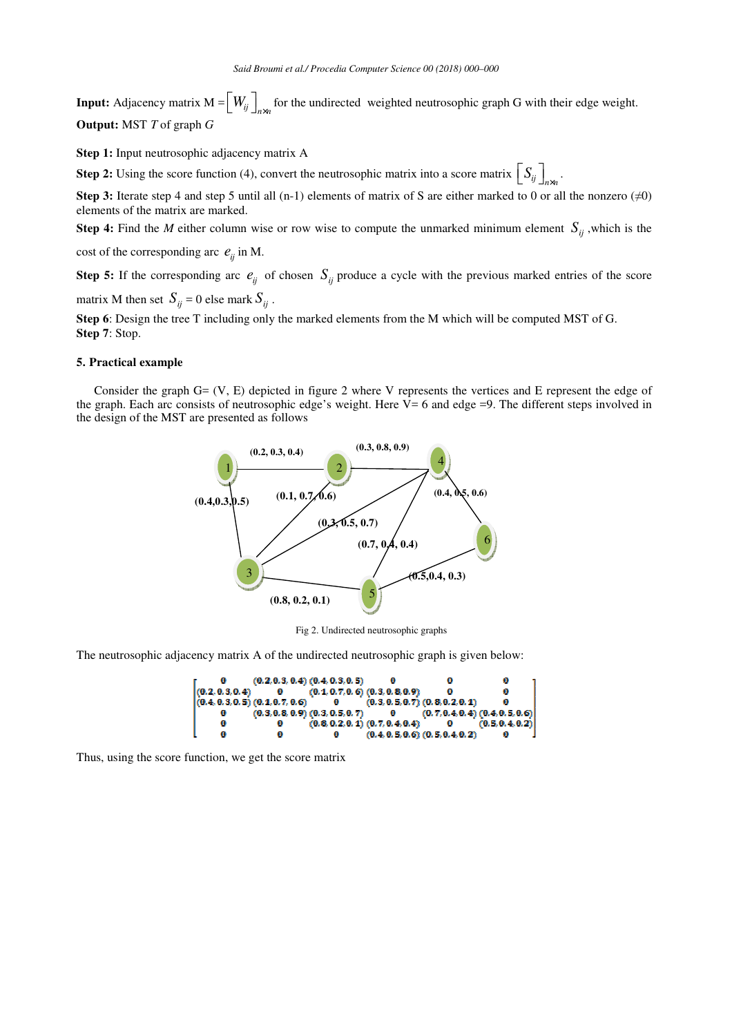**Input:** Adjacency matrix  $M = \left[W_{ij}\right]_{n \times n}$  for the undirected weighted neutrosophic graph G with their edge weight. **Output:** MST *T* of graph *G*

**Step 1:** Input neutrosophic adjacency matrix A

**Step 2:** Using the score function (4), convert the neutrosophic matrix into a score matrix  $\left[S_{ij}\right]_{n\times n}$ .

**Step 3:** Iterate step 4 and step 5 until all (n-1) elements of matrix of S are either marked to 0 or all the nonzero  $(\neq 0)$ elements of the matrix are marked.

**Step 4:** Find the *M* either column wise or row wise to compute the unmarked minimum element  $S_{ij}$ , which is the

cost of the corresponding arc  $e_{ii}$  in M.

**Step 5:** If the corresponding arc  $e_{ij}$  of chosen  $S_{ij}$  produce a cycle with the previous marked entries of the score

matrix M then set  $S_{ij} = 0$  else mark  $S_{ij}$ .

**Step 6**: Design the tree T including only the marked elements from the M which will be computed MST of G. **Step 7**: Stop.

#### **5. Practical example**

Consider the graph G= (V, E) depicted in figure 2 where V represents the vertices and E represent the edge of the graph. Each arc consists of neutrosophic edge's weight. Here  $\bar{V}$  = 6 and edge =9. The different steps involved in the design of the MST are presented as follows



Fig 2. Undirected neutrosophic graphs

The neutrosophic adjacency matrix A of the undirected neutrosophic graph is given below:



Thus, using the score function, we get the score matrix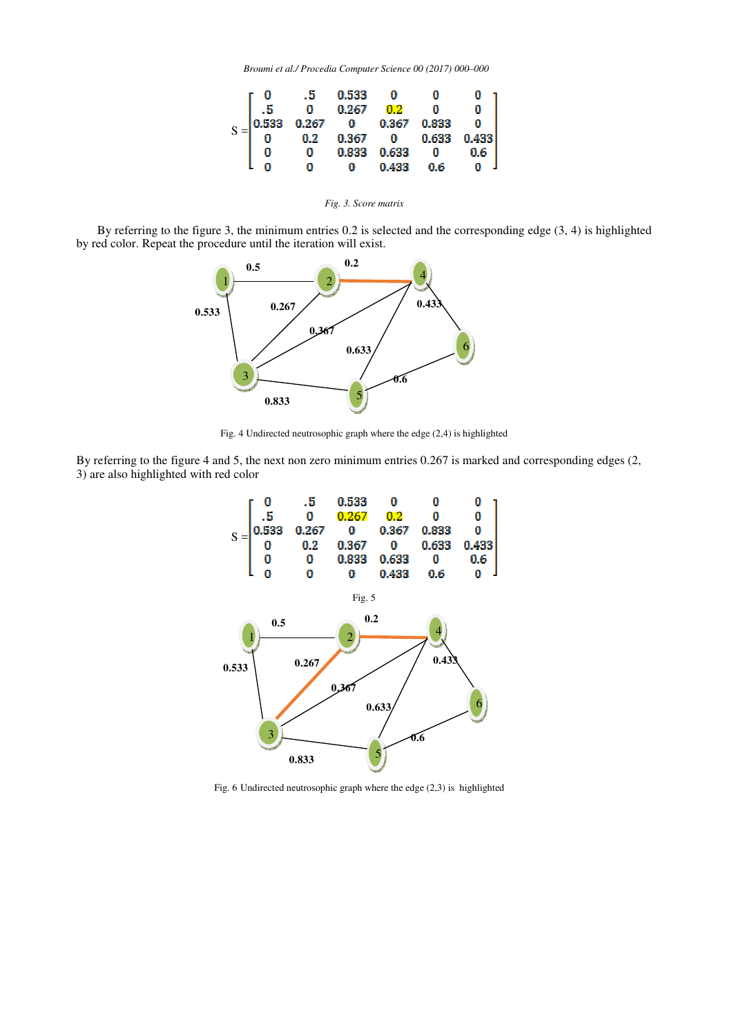*Broumi et al./ Procedia Computer Science 00 (2017) 000–000* 



*Fig. 3. Score matrix* 

 By referring to the figure 3, the minimum entries 0.2 is selected and the corresponding edge (3, 4) is highlighted by red color. Repeat the procedure until the iteration will exist.



Fig. 4 Undirected neutrosophic graph where the edge (2,4) is highlighted

By referring to the figure 4 and 5, the next non zero minimum entries 0.267 is marked and corresponding edges (2, 3) are also highlighted with red color



Fig. 6 Undirected neutrosophic graph where the edge (2,3) is highlighted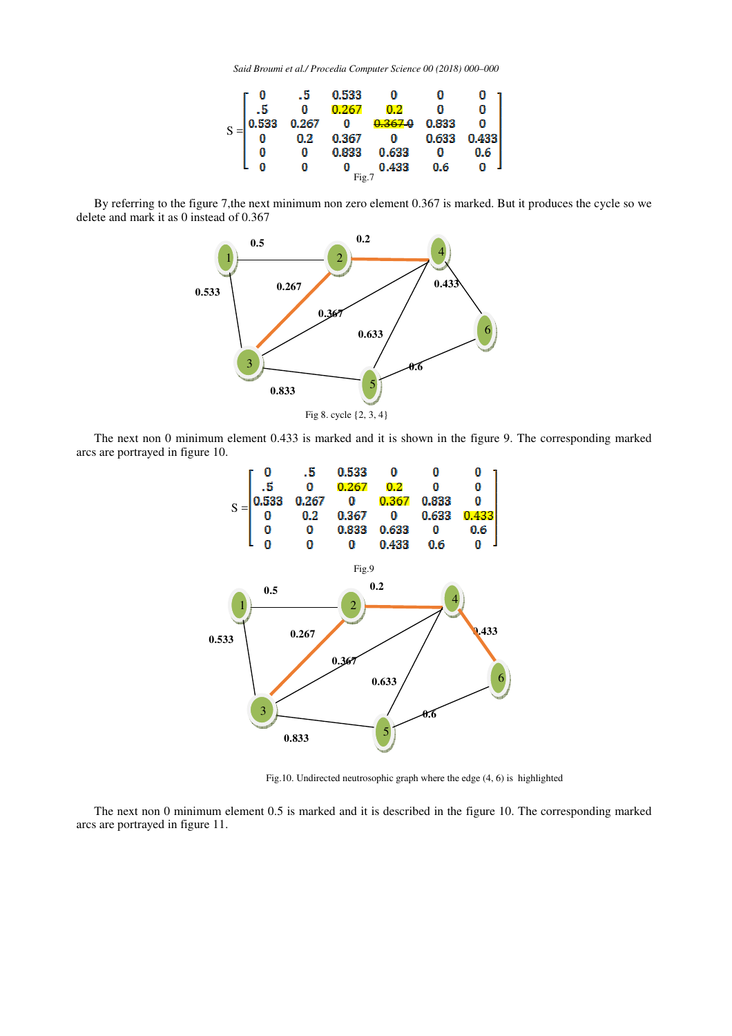*Said Broumi et al./ Procedia Computer Science 00 (2018) 000–000* 



By referring to the figure 7,the next minimum non zero element 0.367 is marked. But it produces the cycle so we delete and mark it as 0 instead of 0.367



The next non 0 minimum element 0.433 is marked and it is shown in the figure 9. The corresponding marked arcs are portrayed in figure 10.



Fig.10. Undirected neutrosophic graph where the edge (4, 6) is highlighted

The next non 0 minimum element 0.5 is marked and it is described in the figure 10. The corresponding marked arcs are portrayed in figure 11.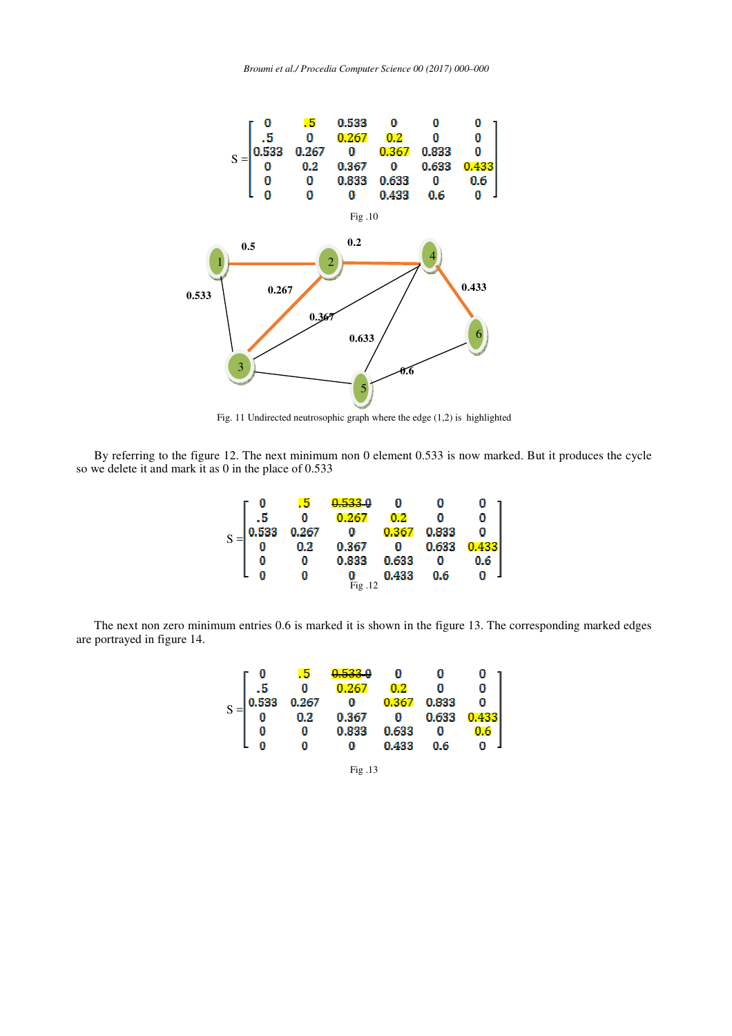*Broumi et al./ Procedia Computer Science 00 (2017) 000–000* 



Fig. 11 Undirected neutrosophic graph where the edge (1,2) is highlighted

By referring to the figure 12. The next minimum non 0 element 0.533 is now marked. But it produces the cycle so we delete it and mark it as 0 in the place of 0.533

|  |       | 65    | <u>533</u> 0 |       |       |  |
|--|-------|-------|--------------|-------|-------|--|
|  |       |       | 0.267        | 0.2   |       |  |
|  | 0.533 | 0.267 | n            | 0.367 | 0.833 |  |
|  |       | 0.2   | 0.367        |       | 0.633 |  |
|  |       |       | 0.833        | 0.633 |       |  |
|  |       |       |              | 0.433 | 0.6   |  |
|  |       |       | Fig.12       |       |       |  |

The next non zero minimum entries 0.6 is marked it is shown in the figure 13. The corresponding marked edges are portrayed in figure 14.



Fig .13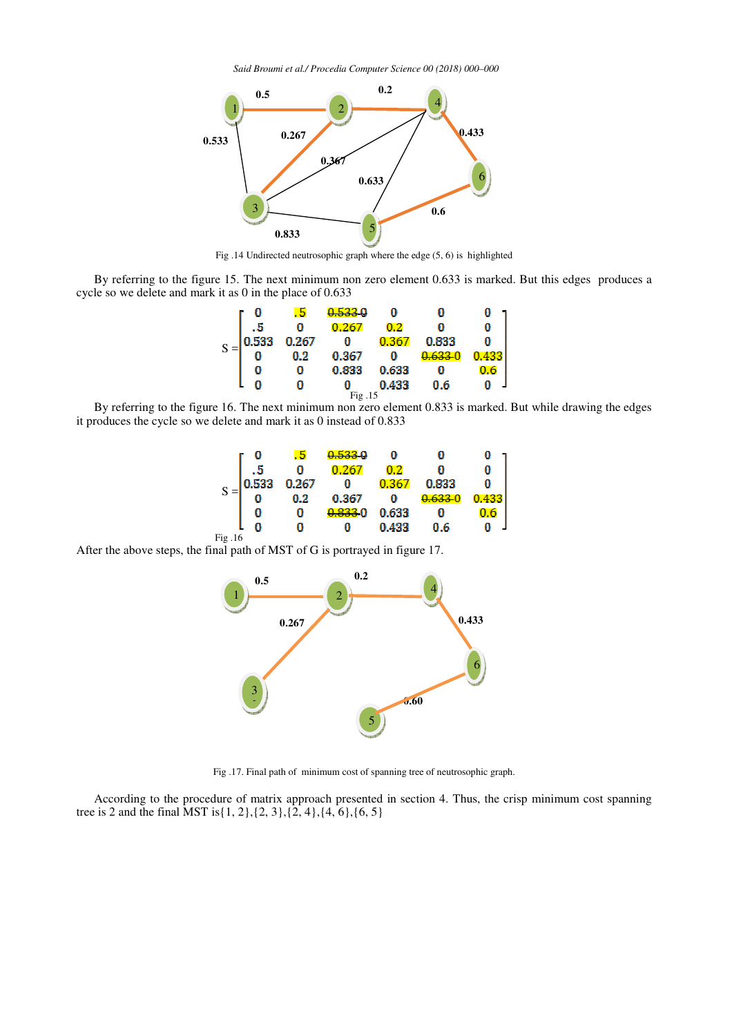*Said Broumi et al./ Procedia Computer Science 00 (2018) 000–000* 



Fig .14 Undirected neutrosophic graph where the edge (5, 6) is highlighted

By referring to the figure 15. The next minimum non zero element 0.633 is marked. But this edges produces a cycle so we delete and mark it as 0 in the place of 0.633

|        |       | . 5   | <u>533</u> 0 |         |       |  |
|--------|-------|-------|--------------|---------|-------|--|
| S      | с     | Л     | 0.267        | $0.2\,$ |       |  |
|        | 0.533 | 0.267 | 0            | 0.362   | 0.833 |  |
|        |       | 0.2   | 0.367        | 0       |       |  |
|        |       | n     | 0.833        | 0.633   |       |  |
|        |       | Л     |              | 0.433   | 0.6   |  |
| Fig.15 |       |       |              |         |       |  |

By referring to the figure 16. The next minimum non zero element 0.833 is marked. But while drawing the edges it produces the cycle so we delete and mark it as 0 instead of 0.833

|        |       | . 5   | <u>N 522 U</u> |       |       |  |
|--------|-------|-------|----------------|-------|-------|--|
| C      | к     | ü     | 0,26           | 0.2   |       |  |
|        | 0.533 | 0.267 | Ö              | 0.367 | 0.833 |  |
|        |       | 0.2   | 0.367          | л     | 0.63  |  |
|        |       |       | 0.833          | 0.633 |       |  |
|        |       |       |                | 0.433 | 0.6   |  |
| Fig.16 |       |       |                |       |       |  |

After the above steps, the final path of MST of G is portrayed in figure 17.



Fig .17. Final path of minimum cost of spanning tree of neutrosophic graph.

According to the procedure of matrix approach presented in section 4. Thus, the crisp minimum cost spanning tree is 2 and the final MST is{1, 2},{2, 3},{2, 4},{4, 6},{6, 5}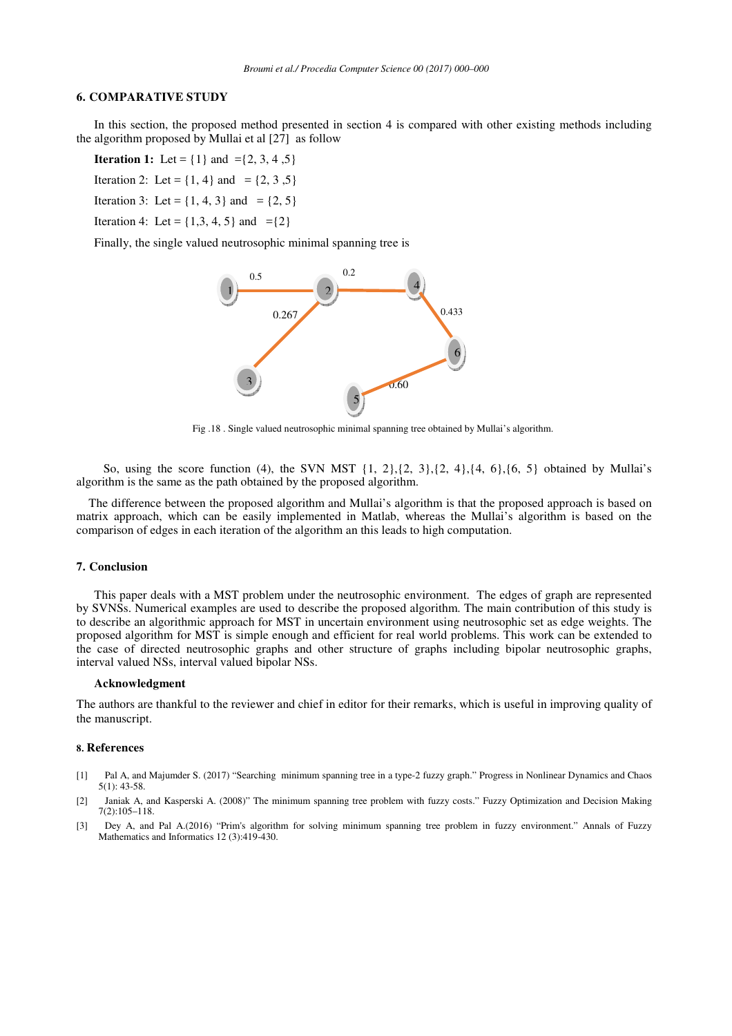## **6. COMPARATIVE STUDY**

In this section, the proposed method presented in section 4 is compared with other existing methods including the algorithm proposed by Mullai et al [27] as follow

**Iteration 1:** Let =  $\{1\}$  and = $\{2, 3, 4, 5\}$ 

Iteration 2: Let =  $\{1, 4\}$  and =  $\{2, 3, 5\}$ 

Iteration 3: Let =  $\{1, 4, 3\}$  and =  $\{2, 5\}$ 

Iteration 4: Let =  $\{1,3,4,5\}$  and = $\{2\}$ 

Finally, the single valued neutrosophic minimal spanning tree is



Fig .18 . Single valued neutrosophic minimal spanning tree obtained by Mullai's algorithm.

So, using the score function (4), the SVN MST  $\{1, 2\}, \{2, 3\}, \{2, 4\}, \{4, 6\}, \{6, 5\}$  obtained by Mullai's algorithm is the same as the path obtained by the proposed algorithm.

 The difference between the proposed algorithm and Mullai's algorithm is that the proposed approach is based on matrix approach, which can be easily implemented in Matlab, whereas the Mullai's algorithm is based on the comparison of edges in each iteration of the algorithm an this leads to high computation.

### **7. Conclusion**

This paper deals with a MST problem under the neutrosophic environment. The edges of graph are represented by SVNSs. Numerical examples are used to describe the proposed algorithm. The main contribution of this study is to describe an algorithmic approach for MST in uncertain environment using neutrosophic set as edge weights. The proposed algorithm for MST is simple enough and efficient for real world problems. This work can be extended to the case of directed neutrosophic graphs and other structure of graphs including bipolar neutrosophic graphs, interval valued NSs, interval valued bipolar NSs.

### **Acknowledgment**

The authors are thankful to the reviewer and chief in editor for their remarks, which is useful in improving quality of the manuscript.

#### **8. References**

- [1] Pal A, and Majumder S. (2017) "Searching minimum spanning tree in a type-2 fuzzy graph." Progress in Nonlinear Dynamics and Chaos 5(1): 43-58.
- [2] Janiak A, and Kasperski A. (2008)" The minimum spanning tree problem with fuzzy costs." Fuzzy Optimization and Decision Making 7(2):105–118.
- [3] Dey A, and Pal A.(2016) "Prim's algorithm for solving minimum spanning tree problem in fuzzy environment." Annals of Fuzzy Mathematics and Informatics 12 (3):419-430.